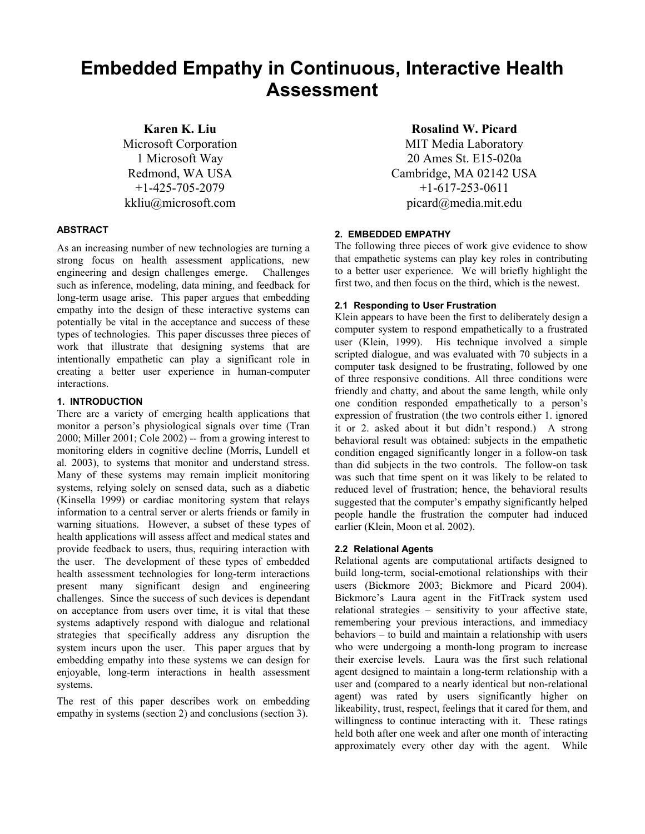# **Embedded Empathy in Continuous, Interactive Health Assessment**

**Karen K. Liu**  Microsoft Corporation

1 Microsoft Way Redmond, WA USA +1-425-705-2079 kkliu@microsoft.com

# **ABSTRACT**

As an increasing number of new technologies are turning a strong focus on health assessment applications, new engineering and design challenges emerge. Challenges such as inference, modeling, data mining, and feedback for long-term usage arise. This paper argues that embedding empathy into the design of these interactive systems can potentially be vital in the acceptance and success of these types of technologies. This paper discusses three pieces of work that illustrate that designing systems that are intentionally empathetic can play a significant role in creating a better user experience in human-computer interactions.

## **1. INTRODUCTION**

There are a variety of emerging health applications that monitor a person's physiological signals over time (Tran 2000; Miller 2001; Cole 2002) -- from a growing interest to monitoring elders in cognitive decline (Morris, Lundell et al. 2003), to systems that monitor and understand stress. Many of these systems may remain implicit monitoring systems, relying solely on sensed data, such as a diabetic (Kinsella 1999) or cardiac monitoring system that relays information to a central server or alerts friends or family in warning situations. However, a subset of these types of health applications will assess affect and medical states and provide feedback to users, thus, requiring interaction with the user. The development of these types of embedded health assessment technologies for long-term interactions present many significant design and engineering challenges. Since the success of such devices is dependant on acceptance from users over time, it is vital that these systems adaptively respond with dialogue and relational strategies that specifically address any disruption the system incurs upon the user. This paper argues that by embedding empathy into these systems we can design for enjoyable, long-term interactions in health assessment systems.

The rest of this paper describes work on embedding empathy in systems (section 2) and conclusions (section 3).

**Rosalind W. Picard** 

MIT Media Laboratory 20 Ames St. E15-020a Cambridge, MA 02142 USA +1-617-253-0611 picard@media.mit.edu

# **2. EMBEDDED EMPATHY**

The following three pieces of work give evidence to show that empathetic systems can play key roles in contributing to a better user experience. We will briefly highlight the first two, and then focus on the third, which is the newest.

# **2.1 Responding to User Frustration**

Klein appears to have been the first to deliberately design a computer system to respond empathetically to a frustrated user (Klein, 1999). His technique involved a simple scripted dialogue, and was evaluated with 70 subjects in a computer task designed to be frustrating, followed by one of three responsive conditions. All three conditions were friendly and chatty, and about the same length, while only one condition responded empathetically to a person's expression of frustration (the two controls either 1. ignored it or 2. asked about it but didn't respond.) A strong behavioral result was obtained: subjects in the empathetic condition engaged significantly longer in a follow-on task than did subjects in the two controls. The follow-on task was such that time spent on it was likely to be related to reduced level of frustration; hence, the behavioral results suggested that the computer's empathy significantly helped people handle the frustration the computer had induced earlier (Klein, Moon et al. 2002).

# **2.2 Relational Agents**

Relational agents are computational artifacts designed to build long-term, social-emotional relationships with their users (Bickmore 2003; Bickmore and Picard 2004). Bickmore's Laura agent in the FitTrack system used relational strategies – sensitivity to your affective state, remembering your previous interactions, and immediacy behaviors – to build and maintain a relationship with users who were undergoing a month-long program to increase their exercise levels. Laura was the first such relational agent designed to maintain a long-term relationship with a user and (compared to a nearly identical but non-relational agent) was rated by users significantly higher on likeability, trust, respect, feelings that it cared for them, and willingness to continue interacting with it. These ratings held both after one week and after one month of interacting approximately every other day with the agent. While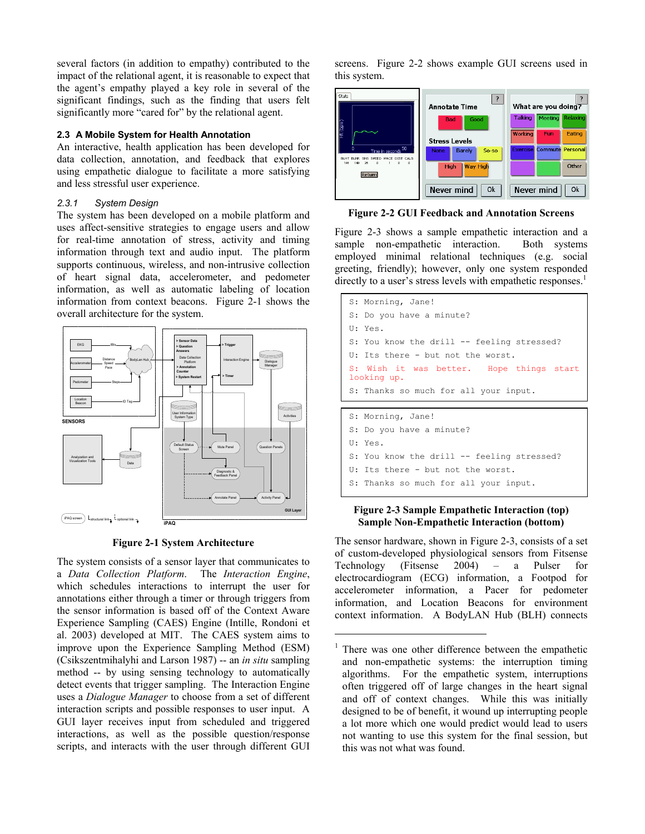several factors (in addition to empathy) contributed to the impact of the relational agent, it is reasonable to expect that the agent's empathy played a key role in several of the significant findings, such as the finding that users felt significantly more "cared for" by the relational agent.

### **2.3 A Mobile System for Health Annotation**

An interactive, health application has been developed for data collection, annotation, and feedback that explores using empathetic dialogue to facilitate a more satisfying and less stressful user experience.

# *2.3.1 System Design*

The system has been developed on a mobile platform and uses affect-sensitive strategies to engage users and allow for real-time annotation of stress, activity and timing information through text and audio input. The platform supports continuous, wireless, and non-intrusive collection of heart signal data, accelerometer, and pedometer information, as well as automatic labeling of location information from context beacons. Figure 2-1 shows the overall architecture for the system.





The system consists of a sensor layer that communicates to a *Data Collection Platform*. The *Interaction Engine*, which schedules interactions to interrupt the user for annotations either through a timer or through triggers from the sensor information is based off of the Context Aware Experience Sampling (CAES) Engine (Intille, Rondoni et al. 2003) developed at MIT. The CAES system aims to improve upon the Experience Sampling Method (ESM) (Csikszentmihalyhi and Larson 1987) -- an *in situ* sampling method -- by using sensing technology to automatically detect events that trigger sampling. The Interaction Engine uses a *Dialogue Manager* to choose from a set of different interaction scripts and possible responses to user input. A GUI layer receives input from scheduled and triggered interactions, as well as the possible question/response scripts, and interacts with the user through different GUI screens. Figure 2-2 shows example GUI screens used in this system.



**Figure 2-2 GUI Feedback and Annotation Screens** 

Figure 2-3 shows a sample empathetic interaction and a sample non-empathetic interaction. Both systems employed minimal relational techniques (e.g. social greeting, friendly); however, only one system responded directly to a user's stress levels with empathetic responses.<sup>1</sup>

| S: Morning, Jane!                                       |
|---------------------------------------------------------|
| S: Do you have a minute?                                |
| U: Yes.                                                 |
| S: You know the drill -- feeling stressed?              |
| U: Its there - but not the worst.                       |
| S: Wish it was better. Hope things start<br>looking up. |
| S: Thanks so much for all your input.                   |
|                                                         |
| S: Morning, Jane!                                       |
|                                                         |
| S: Do you have a minute?                                |
| U: Yes.                                                 |

U: Its there - but not the worst.

1

S: Thanks so much for all your input.

## **Figure 2-3 Sample Empathetic Interaction (top) Sample Non-Empathetic Interaction (bottom)**

The sensor hardware, shown in Figure 2-3, consists of a set of custom-developed physiological sensors from Fitsense Technology (Fitsense 2004) – a Pulser for electrocardiogram (ECG) information, a Footpod for accelerometer information, a Pacer for pedometer information, and Location Beacons for environment context information. A BodyLAN Hub (BLH) connects

<sup>1</sup> There was one other difference between the empathetic and non-empathetic systems: the interruption timing algorithms. For the empathetic system, interruptions often triggered off of large changes in the heart signal and off of context changes. While this was initially designed to be of benefit, it wound up interrupting people a lot more which one would predict would lead to users not wanting to use this system for the final session, but this was not what was found.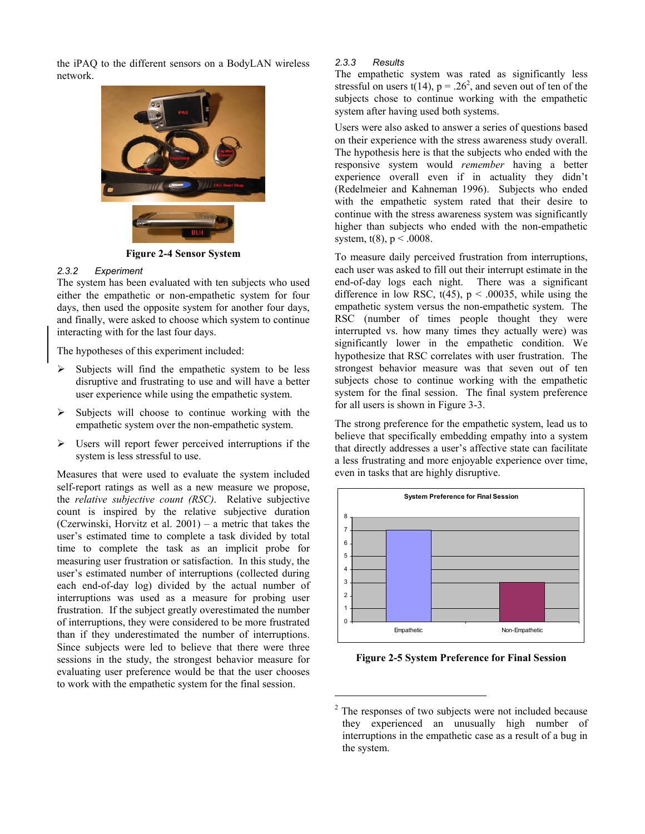the iPAQ to the different sensors on a BodyLAN wireless network.



**Figure 2-4 Sensor System** 

#### *2.3.2 Experiment*

The system has been evaluated with ten subjects who used either the empathetic or non-empathetic system for four days, then used the opposite system for another four days, and finally, were asked to choose which system to continue interacting with for the last four days.

The hypotheses of this experiment included:

- $\triangleright$  Subjects will find the empathetic system to be less disruptive and frustrating to use and will have a better user experience while using the empathetic system.
- $\triangleright$  Subjects will choose to continue working with the empathetic system over the non-empathetic system.
- $\triangleright$  Users will report fewer perceived interruptions if the system is less stressful to use.

Measures that were used to evaluate the system included self-report ratings as well as a new measure we propose, the *relative subjective count (RSC)*. Relative subjective count is inspired by the relative subjective duration (Czerwinski, Horvitz et al. 2001) – a metric that takes the user's estimated time to complete a task divided by total time to complete the task as an implicit probe for measuring user frustration or satisfaction. In this study, the user's estimated number of interruptions (collected during each end-of-day log) divided by the actual number of interruptions was used as a measure for probing user frustration. If the subject greatly overestimated the number of interruptions, they were considered to be more frustrated than if they underestimated the number of interruptions. Since subjects were led to believe that there were three sessions in the study, the strongest behavior measure for evaluating user preference would be that the user chooses to work with the empathetic system for the final session.

#### *2.3.3 Results*

The empathetic system was rated as significantly less stressful on users  $t(14)$ ,  $p = .26<sup>2</sup>$ , and seven out of ten of the subjects chose to continue working with the empathetic system after having used both systems.

Users were also asked to answer a series of questions based on their experience with the stress awareness study overall. The hypothesis here is that the subjects who ended with the responsive system would *remember* having a better experience overall even if in actuality they didn't (Redelmeier and Kahneman 1996). Subjects who ended with the empathetic system rated that their desire to continue with the stress awareness system was significantly higher than subjects who ended with the non-empathetic system,  $t(8)$ ,  $p < .0008$ .

To measure daily perceived frustration from interruptions, each user was asked to fill out their interrupt estimate in the end-of-day logs each night. There was a significant difference in low RSC,  $t(45)$ ,  $p < .00035$ , while using the empathetic system versus the non-empathetic system. The RSC (number of times people thought they were interrupted vs. how many times they actually were) was significantly lower in the empathetic condition. We hypothesize that RSC correlates with user frustration. The strongest behavior measure was that seven out of ten subjects chose to continue working with the empathetic system for the final session. The final system preference for all users is shown in Figure 3-3.

The strong preference for the empathetic system, lead us to believe that specifically embedding empathy into a system that directly addresses a user's affective state can facilitate a less frustrating and more enjoyable experience over time, even in tasks that are highly disruptive.



**Figure 2-5 System Preference for Final Session** 

1

 $2$  The responses of two subjects were not included because they experienced an unusually high number of interruptions in the empathetic case as a result of a bug in the system.